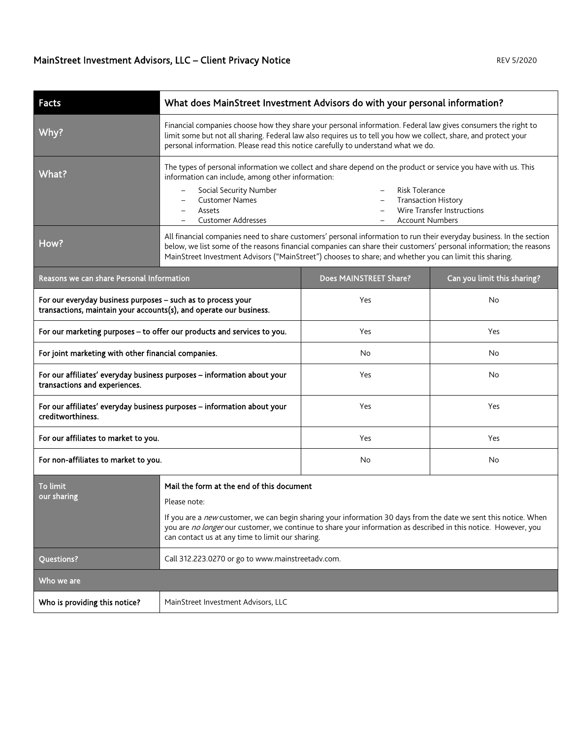| <b>Facts</b>                                                                                                                       | What does MainStreet Investment Advisors do with your personal information?                                                                                                                                                                                                                                                                            |                                                                                                    |                             |  |
|------------------------------------------------------------------------------------------------------------------------------------|--------------------------------------------------------------------------------------------------------------------------------------------------------------------------------------------------------------------------------------------------------------------------------------------------------------------------------------------------------|----------------------------------------------------------------------------------------------------|-----------------------------|--|
| Why?                                                                                                                               | Financial companies choose how they share your personal information. Federal law gives consumers the right to<br>limit some but not all sharing. Federal law also requires us to tell you how we collect, share, and protect your<br>personal information. Please read this notice carefully to understand what we do.                                 |                                                                                                    |                             |  |
| What?                                                                                                                              | The types of personal information we collect and share depend on the product or service you have with us. This<br>information can include, among other information:                                                                                                                                                                                    |                                                                                                    |                             |  |
|                                                                                                                                    | Social Security Number<br><b>Customer Names</b><br>Assets<br><b>Customer Addresses</b>                                                                                                                                                                                                                                                                 | <b>Risk Tolerance</b><br><b>Transaction History</b><br>$\qquad \qquad -$<br><b>Account Numbers</b> | Wire Transfer Instructions  |  |
| How?                                                                                                                               | All financial companies need to share customers' personal information to run their everyday business. In the section<br>below, we list some of the reasons financial companies can share their customers' personal information; the reasons<br>MainStreet Investment Advisors ("MainStreet") chooses to share; and whether you can limit this sharing. |                                                                                                    |                             |  |
| Reasons we can share Personal Information                                                                                          |                                                                                                                                                                                                                                                                                                                                                        | Does MAINSTREET Share?                                                                             | Can you limit this sharing? |  |
| For our everyday business purposes - such as to process your<br>transactions, maintain your accounts(s), and operate our business. |                                                                                                                                                                                                                                                                                                                                                        | Yes                                                                                                | No                          |  |
| For our marketing purposes - to offer our products and services to you.                                                            |                                                                                                                                                                                                                                                                                                                                                        | Yes                                                                                                | Yes                         |  |
| For joint marketing with other financial companies.                                                                                |                                                                                                                                                                                                                                                                                                                                                        | No                                                                                                 | No                          |  |
| For our affiliates' everyday business purposes - information about your<br>transactions and experiences.                           |                                                                                                                                                                                                                                                                                                                                                        | Yes                                                                                                | No                          |  |
| For our affiliates' everyday business purposes - information about your<br>creditworthiness.                                       |                                                                                                                                                                                                                                                                                                                                                        | Yes                                                                                                | Yes                         |  |
| For our affiliates to market to you.                                                                                               |                                                                                                                                                                                                                                                                                                                                                        | Yes                                                                                                | Yes                         |  |
| For non-affiliates to market to you.                                                                                               |                                                                                                                                                                                                                                                                                                                                                        | No                                                                                                 | No                          |  |
| <b>To limit</b>                                                                                                                    | Mail the form at the end of this document                                                                                                                                                                                                                                                                                                              |                                                                                                    |                             |  |
| our sharing                                                                                                                        | Please note:                                                                                                                                                                                                                                                                                                                                           |                                                                                                    |                             |  |
|                                                                                                                                    | If you are a new customer, we can begin sharing your information 30 days from the date we sent this notice. When<br>you are no longer our customer, we continue to share your information as described in this notice. However, you<br>can contact us at any time to limit our sharing.                                                                |                                                                                                    |                             |  |
| Questions?                                                                                                                         | Call 312.223.0270 or go to www.mainstreetadv.com.                                                                                                                                                                                                                                                                                                      |                                                                                                    |                             |  |
| Who we are                                                                                                                         |                                                                                                                                                                                                                                                                                                                                                        |                                                                                                    |                             |  |
| Who is providing this notice?                                                                                                      | MainStreet Investment Advisors, LLC                                                                                                                                                                                                                                                                                                                    |                                                                                                    |                             |  |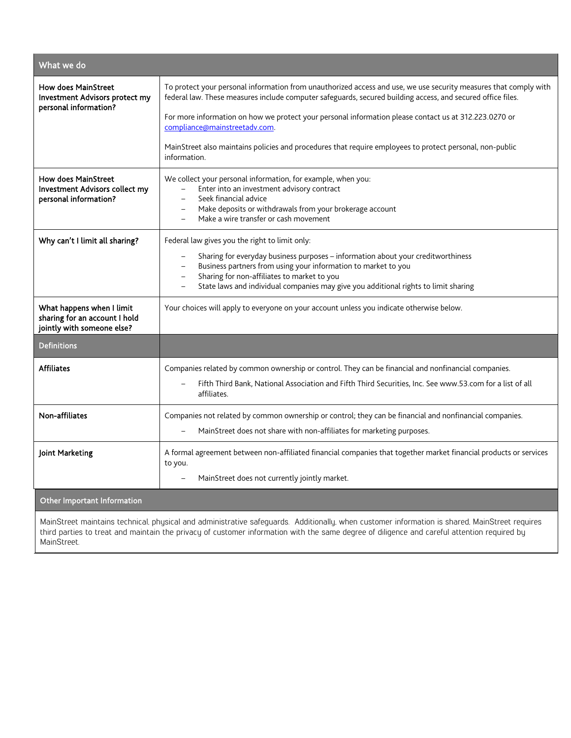| What we do                                                                               |                                                                                                                                                                                                                                                                                                                                                                                                    |  |  |
|------------------------------------------------------------------------------------------|----------------------------------------------------------------------------------------------------------------------------------------------------------------------------------------------------------------------------------------------------------------------------------------------------------------------------------------------------------------------------------------------------|--|--|
| <b>How does MainStreet</b><br>Investment Advisors protect my                             | To protect your personal information from unauthorized access and use, we use security measures that comply with<br>federal law. These measures include computer safeguards, secured building access, and secured office files.                                                                                                                                                                    |  |  |
| personal information?                                                                    | For more information on how we protect your personal information please contact us at 312.223.0270 or<br>compliance@mainstreetadv.com.                                                                                                                                                                                                                                                             |  |  |
|                                                                                          | MainStreet also maintains policies and procedures that require employees to protect personal, non-public<br>information.                                                                                                                                                                                                                                                                           |  |  |
| <b>How does MainStreet</b><br>Investment Advisors collect my<br>personal information?    | We collect your personal information, for example, when you:<br>Enter into an investment advisory contract<br>Seek financial advice<br>Make deposits or withdrawals from your brokerage account<br>$\qquad \qquad -$<br>Make a wire transfer or cash movement                                                                                                                                      |  |  |
| Why can't I limit all sharing?                                                           | Federal law gives you the right to limit only:<br>Sharing for everyday business purposes - information about your creditworthiness<br>Business partners from using your information to market to you<br>Sharing for non-affiliates to market to you<br>$\overline{\phantom{0}}$<br>State laws and individual companies may give you additional rights to limit sharing<br>$\overline{\phantom{0}}$ |  |  |
| What happens when I limit<br>sharing for an account I hold<br>jointly with someone else? | Your choices will apply to everyone on your account unless you indicate otherwise below.                                                                                                                                                                                                                                                                                                           |  |  |
| <b>Definitions</b>                                                                       |                                                                                                                                                                                                                                                                                                                                                                                                    |  |  |
| <b>Affiliates</b>                                                                        | Companies related by common ownership or control. They can be financial and nonfinancial companies.<br>Fifth Third Bank, National Association and Fifth Third Securities, Inc. See www.53.com for a list of all<br>affiliates.                                                                                                                                                                     |  |  |
| Non-affiliates                                                                           | Companies not related by common ownership or control; they can be financial and nonfinancial companies.<br>MainStreet does not share with non-affiliates for marketing purposes.                                                                                                                                                                                                                   |  |  |
| Joint Marketing                                                                          | A formal agreement between non-affiliated financial companies that together market financial products or services<br>to you.                                                                                                                                                                                                                                                                       |  |  |
|                                                                                          | MainStreet does not currently jointly market.                                                                                                                                                                                                                                                                                                                                                      |  |  |
| <b>Other Important Information</b>                                                       |                                                                                                                                                                                                                                                                                                                                                                                                    |  |  |

MainStreet maintains technical, physical and administrative safeguards. Additionally, when customer information is shared, MainStreet requires third parties to treat and maintain the privacy of customer information with the same degree of diligence and careful attention required by MainStreet.